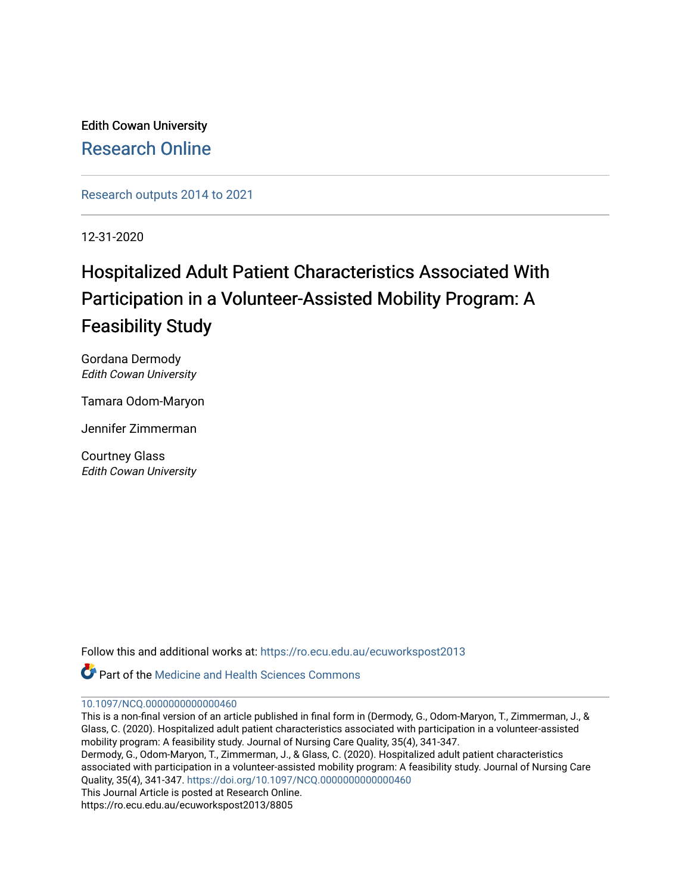Edith Cowan University [Research Online](https://ro.ecu.edu.au/) 

[Research outputs 2014 to 2021](https://ro.ecu.edu.au/ecuworkspost2013) 

12-31-2020

# Hospitalized Adult Patient Characteristics Associated With Participation in a Volunteer-Assisted Mobility Program: A Feasibility Study

Gordana Dermody Edith Cowan University

Tamara Odom-Maryon

Jennifer Zimmerman

Courtney Glass Edith Cowan University

Follow this and additional works at: [https://ro.ecu.edu.au/ecuworkspost2013](https://ro.ecu.edu.au/ecuworkspost2013?utm_source=ro.ecu.edu.au%2Fecuworkspost2013%2F8805&utm_medium=PDF&utm_campaign=PDFCoverPages) 

Part of the [Medicine and Health Sciences Commons](https://network.bepress.com/hgg/discipline/648?utm_source=ro.ecu.edu.au%2Fecuworkspost2013%2F8805&utm_medium=PDF&utm_campaign=PDFCoverPages) 

#### [10.1097/NCQ.0000000000000460](http://dx.doi.org/10.1097/NCQ.0000000000000460)

This is a non-final version of an article published in final form in (Dermody, G., Odom-Maryon, T., Zimmerman, J., & Glass, C. (2020). Hospitalized adult patient characteristics associated with participation in a volunteer-assisted mobility program: A feasibility study. Journal of Nursing Care Quality, 35(4), 341-347. Dermody, G., Odom-Maryon, T., Zimmerman, J., & Glass, C. (2020). Hospitalized adult patient characteristics associated with participation in a volunteer-assisted mobility program: A feasibility study. Journal of Nursing Care Quality, 35(4), 341-347. <https://doi.org/10.1097/NCQ.0000000000000460> This Journal Article is posted at Research Online. https://ro.ecu.edu.au/ecuworkspost2013/8805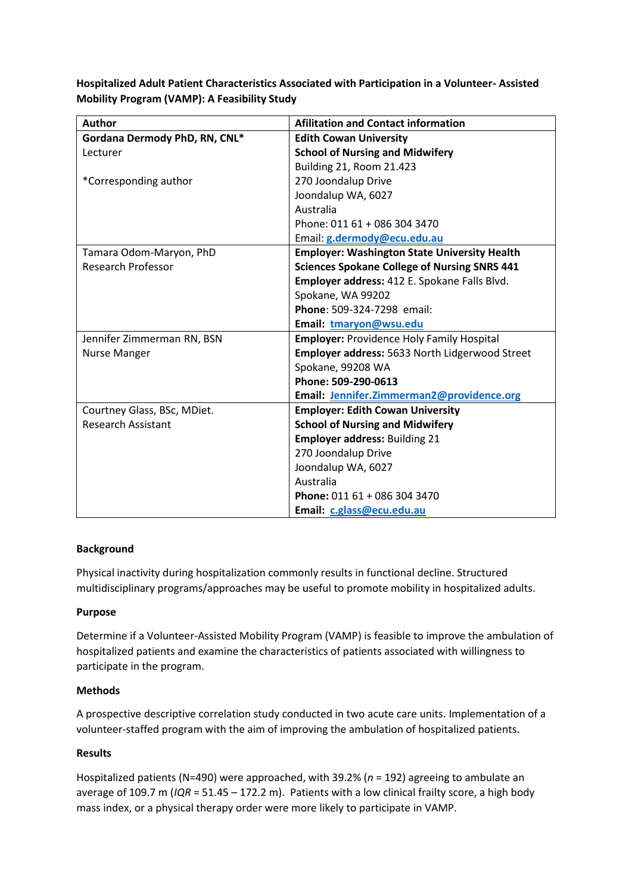**Hospitalized Adult Patient Characteristics Associated with Participation in a Volunteer- Assisted Mobility Program (VAMP): A Feasibility Study**

| <b>Author</b>                 | <b>Afilitation and Contact information</b>          |
|-------------------------------|-----------------------------------------------------|
| Gordana Dermody PhD, RN, CNL* | <b>Edith Cowan University</b>                       |
| Lecturer                      | <b>School of Nursing and Midwifery</b>              |
|                               | <b>Building 21, Room 21.423</b>                     |
| *Corresponding author         | 270 Joondalup Drive                                 |
|                               | Joondalup WA, 6027                                  |
|                               | Australia                                           |
|                               | Phone: 011 61 + 086 304 3470                        |
|                               | Email: g.dermody@ecu.edu.au                         |
| Tamara Odom-Maryon, PhD       | <b>Employer: Washington State University Health</b> |
| <b>Research Professor</b>     | <b>Sciences Spokane College of Nursing SNRS 441</b> |
|                               | Employer address: 412 E. Spokane Falls Blvd.        |
|                               | Spokane, WA 99202                                   |
|                               | Phone: 509-324-7298 email:                          |
|                               | Email: tmaryon@wsu.edu                              |
| Jennifer Zimmerman RN, BSN    | <b>Employer: Providence Holy Family Hospital</b>    |
| <b>Nurse Manger</b>           | Employer address: 5633 North Lidgerwood Street      |
|                               | Spokane, 99208 WA                                   |
|                               | Phone: 509-290-0613                                 |
|                               | Email: Jennifer.Zimmerman2@providence.org           |
| Courtney Glass, BSc, MDiet.   | <b>Employer: Edith Cowan University</b>             |
| <b>Research Assistant</b>     | <b>School of Nursing and Midwifery</b>              |
|                               | <b>Employer address: Building 21</b>                |
|                               | 270 Joondalup Drive                                 |
|                               | Joondalup WA, 6027                                  |
|                               | Australia                                           |
|                               | Phone: 011 61 + 086 304 3470                        |
|                               | Email: c.glass@ecu.edu.au                           |

## **Background**

Physical inactivity during hospitalization commonly results in functional decline. Structured multidisciplinary programs/approaches may be useful to promote mobility in hospitalized adults.

## **Purpose**

Determine if a Volunteer-Assisted Mobility Program (VAMP) is feasible to improve the ambulation of hospitalized patients and examine the characteristics of patients associated with willingness to participate in the program.

## **Methods**

A prospective descriptive correlation study conducted in two acute care units. Implementation of a volunteer-staffed program with the aim of improving the ambulation of hospitalized patients.

## **Results**

Hospitalized patients (N=490) were approached, with 39.2% (*n* = 192) agreeing to ambulate an average of 109.7 m (*IQR* = 51.45 – 172.2 m). Patients with a low clinical frailty score, a high body mass index, or a physical therapy order were more likely to participate in VAMP.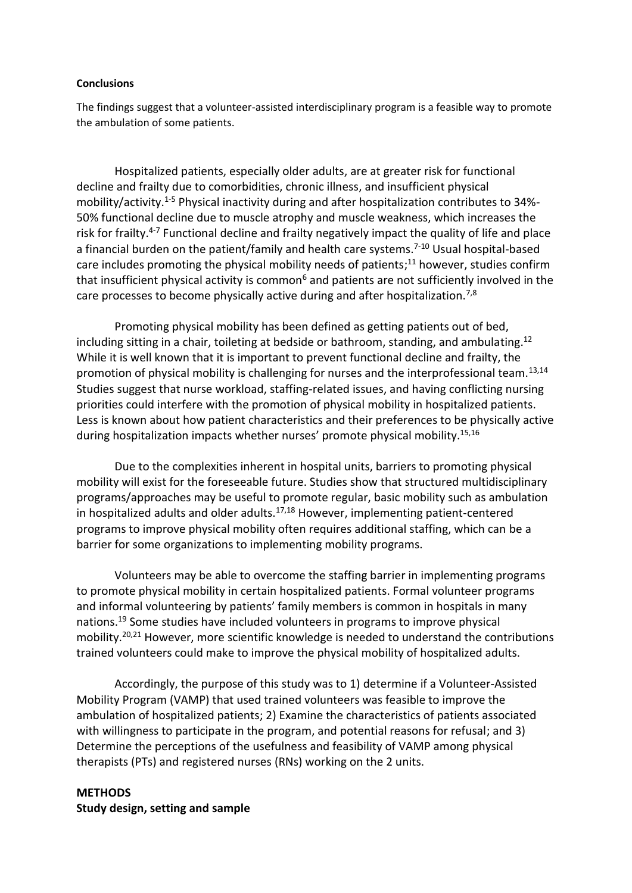#### **Conclusions**

The findings suggest that a volunteer-assisted interdisciplinary program is a feasible way to promote the ambulation of some patients.

Hospitalized patients, especially older adults, are at greater risk for functional decline and frailty due to comorbidities, chronic illness, and insufficient physical mobility/activity.1-5 Physical inactivity during and after hospitalization contributes to 34%- 50% functional decline due to muscle atrophy and muscle weakness, which increases the risk for frailty.<sup>4-7</sup> Functional decline and frailty negatively impact the quality of life and place a financial burden on the patient/family and health care systems.<sup>7-10</sup> Usual hospital-based care includes promoting the physical mobility needs of patients; $^{11}$  however, studies confirm that insufficient physical activity is common<sup>6</sup> and patients are not sufficiently involved in the care processes to become physically active during and after hospitalization.<sup>7,8</sup>

Promoting physical mobility has been defined as getting patients out of bed, including sitting in a chair, toileting at bedside or bathroom, standing, and ambulating.<sup>12</sup> While it is well known that it is important to prevent functional decline and frailty, the promotion of physical mobility is challenging for nurses and the interprofessional team.<sup>13,14</sup> Studies suggest that nurse workload, staffing-related issues, and having conflicting nursing priorities could interfere with the promotion of physical mobility in hospitalized patients. Less is known about how patient characteristics and their preferences to be physically active during hospitalization impacts whether nurses' promote physical mobility.<sup>15,16</sup>

Due to the complexities inherent in hospital units, barriers to promoting physical mobility will exist for the foreseeable future. Studies show that structured multidisciplinary programs/approaches may be useful to promote regular, basic mobility such as ambulation in hospitalized adults and older adults. $17,18$  However, implementing patient-centered programs to improve physical mobility often requires additional staffing, which can be a barrier for some organizations to implementing mobility programs.

Volunteers may be able to overcome the staffing barrier in implementing programs to promote physical mobility in certain hospitalized patients. Formal volunteer programs and informal volunteering by patients' family members is common in hospitals in many nations.<sup>19</sup> Some studies have included volunteers in programs to improve physical mobility.20,21 However, more scientific knowledge is needed to understand the contributions trained volunteers could make to improve the physical mobility of hospitalized adults.

Accordingly, the purpose of this study was to 1) determine if a Volunteer-Assisted Mobility Program (VAMP) that used trained volunteers was feasible to improve the ambulation of hospitalized patients; 2) Examine the characteristics of patients associated with willingness to participate in the program, and potential reasons for refusal; and 3) Determine the perceptions of the usefulness and feasibility of VAMP among physical therapists (PTs) and registered nurses (RNs) working on the 2 units.

## **METHODS Study design, setting and sample**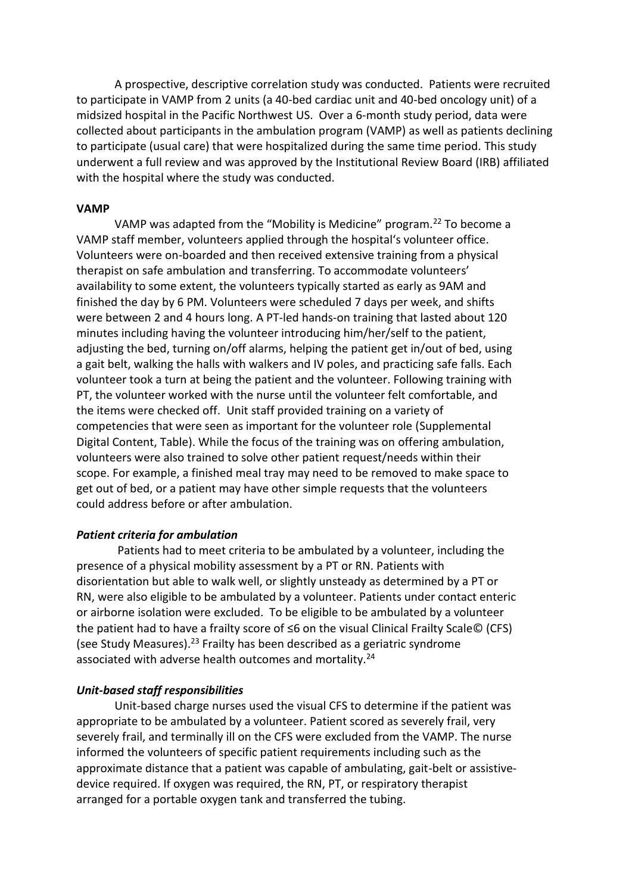A prospective, descriptive correlation study was conducted. Patients were recruited to participate in VAMP from 2 units (a 40-bed cardiac unit and 40-bed oncology unit) of a midsized hospital in the Pacific Northwest US. Over a 6-month study period, data were collected about participants in the ambulation program (VAMP) as well as patients declining to participate (usual care) that were hospitalized during the same time period. This study underwent a full review and was approved by the Institutional Review Board (IRB) affiliated with the hospital where the study was conducted.

#### **VAMP**

VAMP was adapted from the "Mobility is Medicine" program.<sup>22</sup> To become a VAMP staff member, volunteers applied through the hospital's volunteer office. Volunteers were on-boarded and then received extensive training from a physical therapist on safe ambulation and transferring. To accommodate volunteers' availability to some extent, the volunteers typically started as early as 9AM and finished the day by 6 PM. Volunteers were scheduled 7 days per week, and shifts were between 2 and 4 hours long. A PT-led hands-on training that lasted about 120 minutes including having the volunteer introducing him/her/self to the patient, adjusting the bed, turning on/off alarms, helping the patient get in/out of bed, using a gait belt, walking the halls with walkers and IV poles, and practicing safe falls. Each volunteer took a turn at being the patient and the volunteer. Following training with PT, the volunteer worked with the nurse until the volunteer felt comfortable, and the items were checked off. Unit staff provided training on a variety of competencies that were seen as important for the volunteer role (Supplemental Digital Content, Table). While the focus of the training was on offering ambulation, volunteers were also trained to solve other patient request/needs within their scope. For example, a finished meal tray may need to be removed to make space to get out of bed, or a patient may have other simple requests that the volunteers could address before or after ambulation.

## *Patient criteria for ambulation*

Patients had to meet criteria to be ambulated by a volunteer, including the presence of a physical mobility assessment by a PT or RN. Patients with disorientation but able to walk well, or slightly unsteady as determined by a PT or RN, were also eligible to be ambulated by a volunteer. Patients under contact enteric or airborne isolation were excluded. To be eligible to be ambulated by a volunteer the patient had to have a frailty score of ≤6 on the visual Clinical Frailty Scale© (CFS) (see Study Measures).<sup>23</sup> Frailty has been described as a geriatric syndrome associated with adverse health outcomes and mortality.<sup>24</sup>

#### *Unit-based staff responsibilities*

Unit-based charge nurses used the visual CFS to determine if the patient was appropriate to be ambulated by a volunteer. Patient scored as severely frail, very severely frail, and terminally ill on the CFS were excluded from the VAMP. The nurse informed the volunteers of specific patient requirements including such as the approximate distance that a patient was capable of ambulating, gait-belt or assistivedevice required. If oxygen was required, the RN, PT, or respiratory therapist arranged for a portable oxygen tank and transferred the tubing.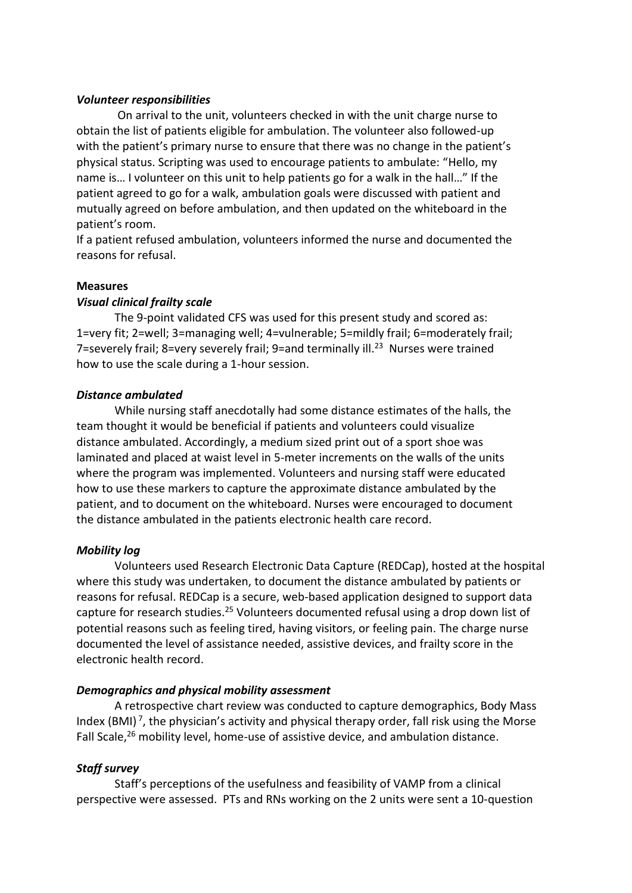#### *Volunteer responsibilities*

On arrival to the unit, volunteers checked in with the unit charge nurse to obtain the list of patients eligible for ambulation. The volunteer also followed-up with the patient's primary nurse to ensure that there was no change in the patient's physical status. Scripting was used to encourage patients to ambulate: "Hello, my name is… I volunteer on this unit to help patients go for a walk in the hall…" If the patient agreed to go for a walk, ambulation goals were discussed with patient and mutually agreed on before ambulation, and then updated on the whiteboard in the patient's room.

If a patient refused ambulation, volunteers informed the nurse and documented the reasons for refusal.

#### **Measures**

#### *Visual clinical frailty scale*

The 9-point validated CFS was used for this present study and scored as: 1=very fit; 2=well; 3=managing well; 4=vulnerable; 5=mildly frail; 6=moderately frail; 7=severely frail; 8=very severely frail; 9=and terminally ill.<sup>23</sup> Nurses were trained how to use the scale during a 1-hour session.

#### *Distance ambulated*

While nursing staff anecdotally had some distance estimates of the halls, the team thought it would be beneficial if patients and volunteers could visualize distance ambulated. Accordingly, a medium sized print out of a sport shoe was laminated and placed at waist level in 5-meter increments on the walls of the units where the program was implemented. Volunteers and nursing staff were educated how to use these markers to capture the approximate distance ambulated by the patient, and to document on the whiteboard. Nurses were encouraged to document the distance ambulated in the patients electronic health care record.

## *Mobility log*

Volunteers used Research Electronic Data Capture (REDCap), hosted at the hospital where this study was undertaken, to document the distance ambulated by patients or reasons for refusal. REDCap is a secure, web-based application designed to support data capture for research studies.<sup>25</sup> Volunteers documented refusal using a drop down list of potential reasons such as feeling tired, having visitors, or feeling pain. The charge nurse documented the level of assistance needed, assistive devices, and frailty score in the electronic health record.

## *Demographics and physical mobility assessment*

A retrospective chart review was conducted to capture demographics, Body Mass Index (BMI)<sup>7</sup>, the physician's activity and physical therapy order, fall risk using the Morse Fall Scale,<sup>26</sup> mobility level, home-use of assistive device, and ambulation distance.

## *Staff survey*

Staff's perceptions of the usefulness and feasibility of VAMP from a clinical perspective were assessed. PTs and RNs working on the 2 units were sent a 10-question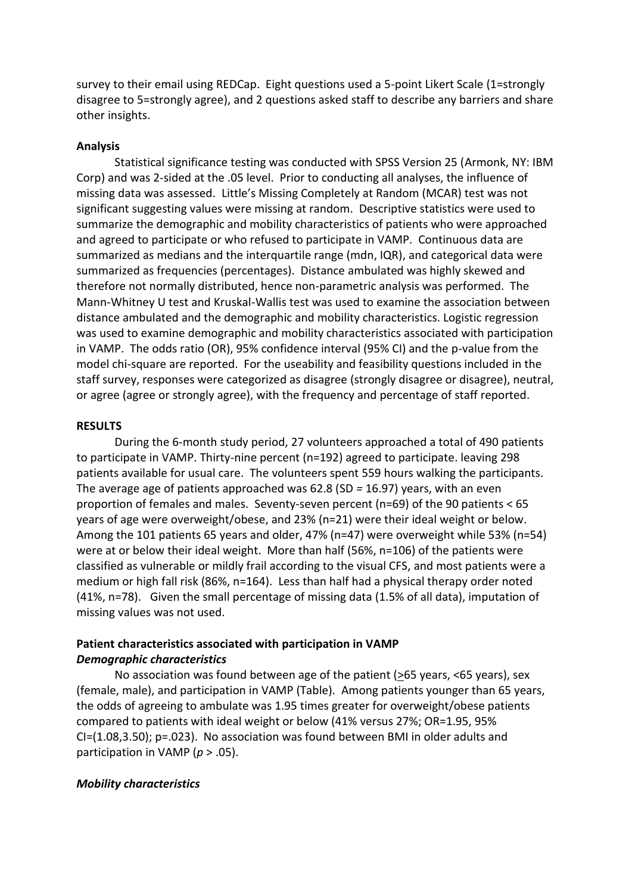survey to their email using REDCap. Eight questions used a 5-point Likert Scale (1=strongly disagree to 5=strongly agree), and 2 questions asked staff to describe any barriers and share other insights.

#### **Analysis**

Statistical significance testing was conducted with SPSS Version 25 (Armonk, NY: IBM Corp) and was 2-sided at the .05 level. Prior to conducting all analyses, the influence of missing data was assessed. Little's Missing Completely at Random (MCAR) test was not significant suggesting values were missing at random. Descriptive statistics were used to summarize the demographic and mobility characteristics of patients who were approached and agreed to participate or who refused to participate in VAMP. Continuous data are summarized as medians and the interquartile range (mdn, IQR), and categorical data were summarized as frequencies (percentages). Distance ambulated was highly skewed and therefore not normally distributed, hence non-parametric analysis was performed. The Mann-Whitney U test and Kruskal-Wallis test was used to examine the association between distance ambulated and the demographic and mobility characteristics. Logistic regression was used to examine demographic and mobility characteristics associated with participation in VAMP. The odds ratio (OR), 95% confidence interval (95% CI) and the p-value from the model chi-square are reported. For the useability and feasibility questions included in the staff survey, responses were categorized as disagree (strongly disagree or disagree), neutral, or agree (agree or strongly agree), with the frequency and percentage of staff reported.

#### **RESULTS**

During the 6-month study period, 27 volunteers approached a total of 490 patients to participate in VAMP. Thirty-nine percent (n=192) agreed to participate. leaving 298 patients available for usual care. The volunteers spent 559 hours walking the participants. The average age of patients approached was 62.8 (SD *=* 16.97) years, with an even proportion of females and males. Seventy-seven percent (n=69) of the 90 patients < 65 years of age were overweight/obese, and 23% (n=21) were their ideal weight or below. Among the 101 patients 65 years and older, 47% (n=47) were overweight while 53% (n=54) were at or below their ideal weight. More than half (56%, n=106) of the patients were classified as vulnerable or mildly frail according to the visual CFS, and most patients were a medium or high fall risk (86%, n=164). Less than half had a physical therapy order noted (41%, n=78). Given the small percentage of missing data (1.5% of all data), imputation of missing values was not used.

## **Patient characteristics associated with participation in VAMP** *Demographic characteristics*

No association was found between age of the patient (>65 years, <65 years), sex (female, male), and participation in VAMP (Table). Among patients younger than 65 years, the odds of agreeing to ambulate was 1.95 times greater for overweight/obese patients compared to patients with ideal weight or below (41% versus 27%; OR=1.95, 95% CI=(1.08,3.50); p=.023). No association was found between BMI in older adults and participation in VAMP (*p* > .05).

#### *Mobility characteristics*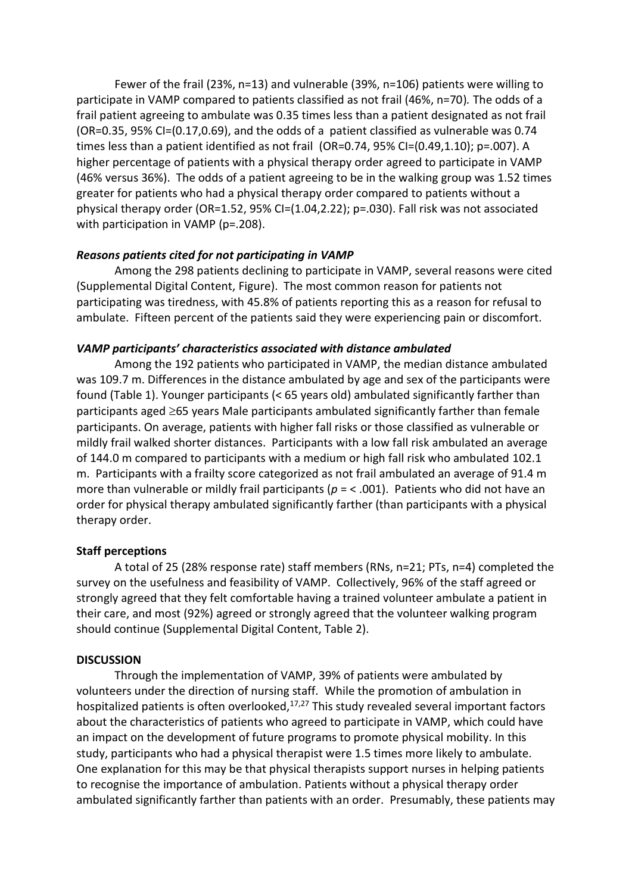Fewer of the frail (23%, n=13) and vulnerable (39%, n=106) patients were willing to participate in VAMP compared to patients classified as not frail (46%, n=70)*.* The odds of a frail patient agreeing to ambulate was 0.35 times less than a patient designated as not frail (OR=0.35, 95% CI=(0.17,0.69), and the odds of a patient classified as vulnerable was 0.74 times less than a patient identified as not frail (OR=0.74, 95% CI=(0.49,1.10); p=.007). A higher percentage of patients with a physical therapy order agreed to participate in VAMP (46% versus 36%). The odds of a patient agreeing to be in the walking group was 1.52 times greater for patients who had a physical therapy order compared to patients without a physical therapy order (OR=1.52, 95% CI=(1.04,2.22); p=.030). Fall risk was not associated with participation in VAMP (p=.208).

## *Reasons patients cited for not participating in VAMP*

Among the 298 patients declining to participate in VAMP, several reasons were cited (Supplemental Digital Content, Figure). The most common reason for patients not participating was tiredness, with 45.8% of patients reporting this as a reason for refusal to ambulate. Fifteen percent of the patients said they were experiencing pain or discomfort.

## *VAMP participants' characteristics associated with distance ambulated*

Among the 192 patients who participated in VAMP, the median distance ambulated was 109.7 m. Differences in the distance ambulated by age and sex of the participants were found (Table 1). Younger participants (< 65 years old) ambulated significantly farther than participants aged  $\geq$ 65 years Male participants ambulated significantly farther than female participants. On average, patients with higher fall risks or those classified as vulnerable or mildly frail walked shorter distances. Participants with a low fall risk ambulated an average of 144.0 m compared to participants with a medium or high fall risk who ambulated 102.1 m. Participants with a frailty score categorized as not frail ambulated an average of 91.4 m more than vulnerable or mildly frail participants (*p* = < .001). Patients who did not have an order for physical therapy ambulated significantly farther (than participants with a physical therapy order.

# **Staff perceptions**

A total of 25 (28% response rate) staff members (RNs, n=21; PTs, n=4) completed the survey on the usefulness and feasibility of VAMP. Collectively, 96% of the staff agreed or strongly agreed that they felt comfortable having a trained volunteer ambulate a patient in their care, and most (92%) agreed or strongly agreed that the volunteer walking program should continue (Supplemental Digital Content, Table 2).

## **DISCUSSION**

Through the implementation of VAMP, 39% of patients were ambulated by volunteers under the direction of nursing staff. While the promotion of ambulation in hospitalized patients is often overlooked, $17,27$  This study revealed several important factors about the characteristics of patients who agreed to participate in VAMP, which could have an impact on the development of future programs to promote physical mobility. In this study, participants who had a physical therapist were 1.5 times more likely to ambulate. One explanation for this may be that physical therapists support nurses in helping patients to recognise the importance of ambulation. Patients without a physical therapy order ambulated significantly farther than patients with an order. Presumably, these patients may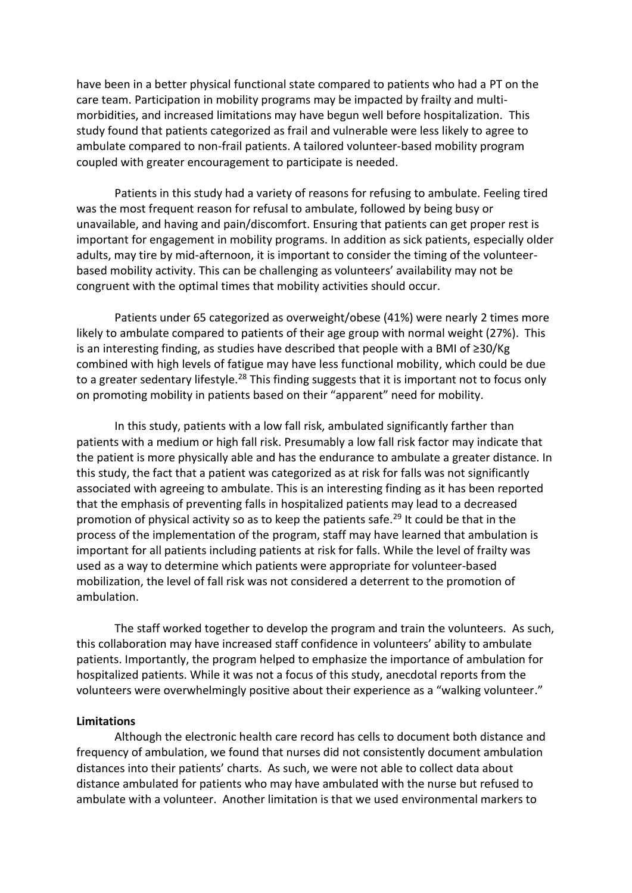have been in a better physical functional state compared to patients who had a PT on the care team. Participation in mobility programs may be impacted by frailty and multimorbidities, and increased limitations may have begun well before hospitalization. This study found that patients categorized as frail and vulnerable were less likely to agree to ambulate compared to non-frail patients. A tailored volunteer-based mobility program coupled with greater encouragement to participate is needed.

Patients in this study had a variety of reasons for refusing to ambulate. Feeling tired was the most frequent reason for refusal to ambulate, followed by being busy or unavailable, and having and pain/discomfort. Ensuring that patients can get proper rest is important for engagement in mobility programs. In addition as sick patients, especially older adults, may tire by mid-afternoon, it is important to consider the timing of the volunteerbased mobility activity. This can be challenging as volunteers' availability may not be congruent with the optimal times that mobility activities should occur.

Patients under 65 categorized as overweight/obese (41%) were nearly 2 times more likely to ambulate compared to patients of their age group with normal weight (27%). This is an interesting finding, as studies have described that people with a BMI of ≥30/Kg combined with high levels of fatigue may have less functional mobility, which could be due to a greater sedentary lifestyle.<sup>28</sup> This finding suggests that it is important not to focus only on promoting mobility in patients based on their "apparent" need for mobility.

In this study, patients with a low fall risk, ambulated significantly farther than patients with a medium or high fall risk. Presumably a low fall risk factor may indicate that the patient is more physically able and has the endurance to ambulate a greater distance. In this study, the fact that a patient was categorized as at risk for falls was not significantly associated with agreeing to ambulate. This is an interesting finding as it has been reported that the emphasis of preventing falls in hospitalized patients may lead to a decreased promotion of physical activity so as to keep the patients safe.<sup>29</sup> It could be that in the process of the implementation of the program, staff may have learned that ambulation is important for all patients including patients at risk for falls. While the level of frailty was used as a way to determine which patients were appropriate for volunteer-based mobilization, the level of fall risk was not considered a deterrent to the promotion of ambulation.

The staff worked together to develop the program and train the volunteers. As such, this collaboration may have increased staff confidence in volunteers' ability to ambulate patients. Importantly, the program helped to emphasize the importance of ambulation for hospitalized patients. While it was not a focus of this study, anecdotal reports from the volunteers were overwhelmingly positive about their experience as a "walking volunteer."

#### **Limitations**

Although the electronic health care record has cells to document both distance and frequency of ambulation, we found that nurses did not consistently document ambulation distances into their patients' charts. As such, we were not able to collect data about distance ambulated for patients who may have ambulated with the nurse but refused to ambulate with a volunteer. Another limitation is that we used environmental markers to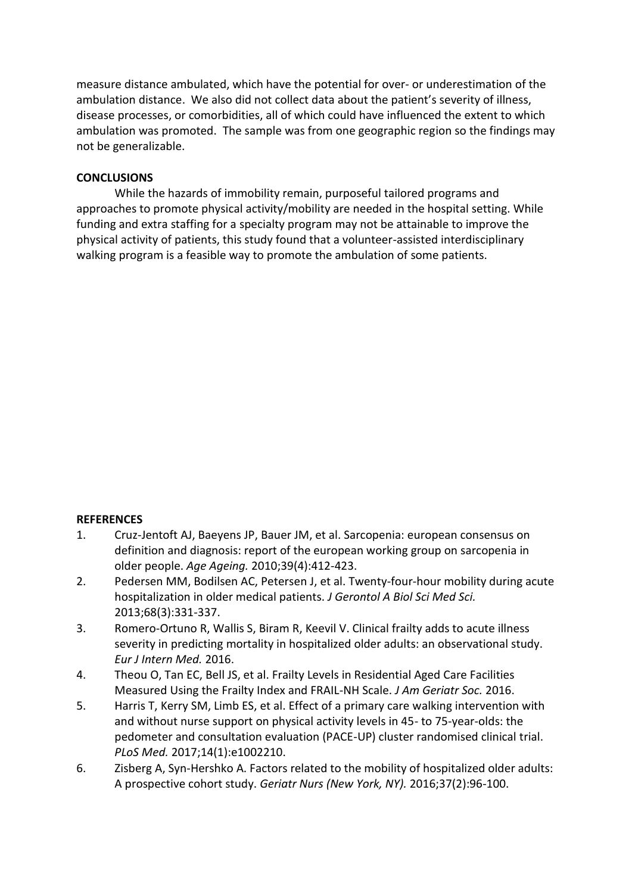measure distance ambulated, which have the potential for over- or underestimation of the ambulation distance. We also did not collect data about the patient's severity of illness, disease processes, or comorbidities, all of which could have influenced the extent to which ambulation was promoted. The sample was from one geographic region so the findings may not be generalizable.

# **CONCLUSIONS**

While the hazards of immobility remain, purposeful tailored programs and approaches to promote physical activity/mobility are needed in the hospital setting. While funding and extra staffing for a specialty program may not be attainable to improve the physical activity of patients, this study found that a volunteer-assisted interdisciplinary walking program is a feasible way to promote the ambulation of some patients.

## **REFERENCES**

- 1. Cruz-Jentoft AJ, Baeyens JP, Bauer JM, et al. Sarcopenia: european consensus on definition and diagnosis: report of the european working group on sarcopenia in older people. *Age Ageing.* 2010;39(4):412-423.
- 2. Pedersen MM, Bodilsen AC, Petersen J, et al. Twenty-four-hour mobility during acute hospitalization in older medical patients. *J Gerontol A Biol Sci Med Sci.* 2013;68(3):331-337.
- 3. Romero-Ortuno R, Wallis S, Biram R, Keevil V. Clinical frailty adds to acute illness severity in predicting mortality in hospitalized older adults: an observational study. *Eur J Intern Med.* 2016.
- 4. Theou O, Tan EC, Bell JS, et al. Frailty Levels in Residential Aged Care Facilities Measured Using the Frailty Index and FRAIL-NH Scale. *J Am Geriatr Soc.* 2016.
- 5. Harris T, Kerry SM, Limb ES, et al. Effect of a primary care walking intervention with and without nurse support on physical activity levels in 45- to 75-year-olds: the pedometer and consultation evaluation (PACE-UP) cluster randomised clinical trial. *PLoS Med.* 2017;14(1):e1002210.
- 6. Zisberg A, Syn-Hershko A. Factors related to the mobility of hospitalized older adults: A prospective cohort study. *Geriatr Nurs (New York, NY).* 2016;37(2):96-100.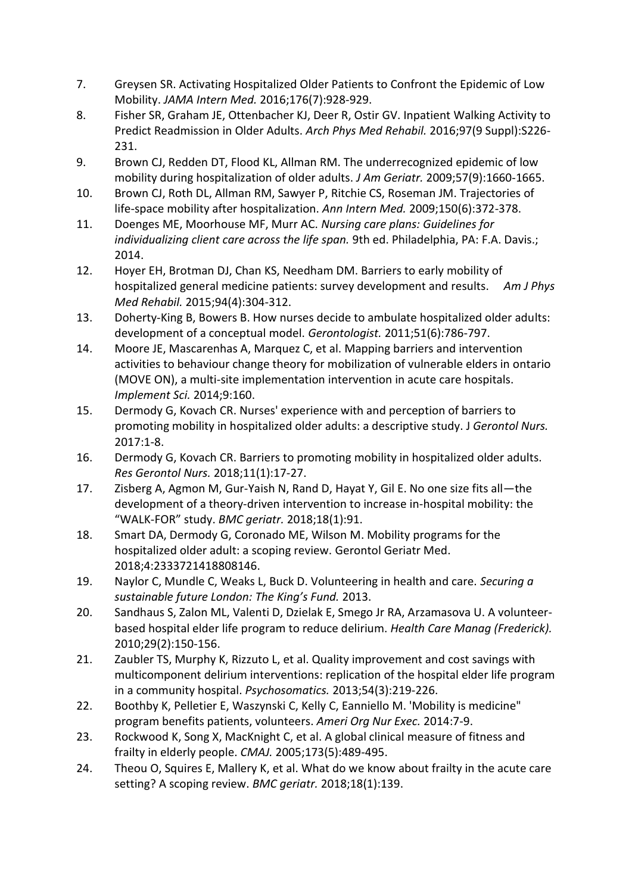- 7. Greysen SR. Activating Hospitalized Older Patients to Confront the Epidemic of Low Mobility. *JAMA Intern Med.* 2016;176(7):928-929.
- 8. Fisher SR, Graham JE, Ottenbacher KJ, Deer R, Ostir GV. Inpatient Walking Activity to Predict Readmission in Older Adults. *Arch Phys Med Rehabil.* 2016;97(9 Suppl):S226- 231.
- 9. Brown CJ, Redden DT, Flood KL, Allman RM. The underrecognized epidemic of low mobility during hospitalization of older adults. *J Am Geriatr.* 2009;57(9):1660-1665.
- 10. Brown CJ, Roth DL, Allman RM, Sawyer P, Ritchie CS, Roseman JM. Trajectories of life-space mobility after hospitalization. *Ann Intern Med.* 2009;150(6):372-378.
- 11. Doenges ME, Moorhouse MF, Murr AC. *Nursing care plans: Guidelines for individualizing client care across the life span.* 9th ed. Philadelphia, PA: F.A. Davis.; 2014.
- 12. Hoyer EH, Brotman DJ, Chan KS, Needham DM. Barriers to early mobility of hospitalized general medicine patients: survey development and results. *Am J Phys Med Rehabil.* 2015;94(4):304-312.
- 13. Doherty-King B, Bowers B. How nurses decide to ambulate hospitalized older adults: development of a conceptual model. *Gerontologist.* 2011;51(6):786-797.
- 14. Moore JE, Mascarenhas A, Marquez C, et al. Mapping barriers and intervention activities to behaviour change theory for mobilization of vulnerable elders in ontario (MOVE ON), a multi-site implementation intervention in acute care hospitals. *Implement Sci.* 2014;9:160.
- 15. Dermody G, Kovach CR. Nurses' experience with and perception of barriers to promoting mobility in hospitalized older adults: a descriptive study. J *Gerontol Nurs.*  2017:1-8.
- 16. Dermody G, Kovach CR. Barriers to promoting mobility in hospitalized older adults. *Res Gerontol Nurs.* 2018;11(1):17-27.
- 17. Zisberg A, Agmon M, Gur-Yaish N, Rand D, Hayat Y, Gil E. No one size fits all—the development of a theory-driven intervention to increase in-hospital mobility: the "WALK-FOR" study. *BMC geriatr.* 2018;18(1):91.
- 18. Smart DA, Dermody G, Coronado ME, Wilson M. Mobility programs for the hospitalized older adult: a scoping review. Gerontol Geriatr Med. 2018;4:2333721418808146.
- 19. Naylor C, Mundle C, Weaks L, Buck D. Volunteering in health and care. *Securing a sustainable future London: The King's Fund.* 2013.
- 20. Sandhaus S, Zalon ML, Valenti D, Dzielak E, Smego Jr RA, Arzamasova U. A volunteerbased hospital elder life program to reduce delirium. *Health Care Manag (Frederick).*  2010;29(2):150-156.
- 21. Zaubler TS, Murphy K, Rizzuto L, et al. Quality improvement and cost savings with multicomponent delirium interventions: replication of the hospital elder life program in a community hospital. *Psychosomatics.* 2013;54(3):219-226.
- 22. Boothby K, Pelletier E, Waszynski C, Kelly C, Eanniello M. 'Mobility is medicine" program benefits patients, volunteers. *Ameri Org Nur Exec.* 2014:7-9.
- 23. Rockwood K, Song X, MacKnight C, et al. A global clinical measure of fitness and frailty in elderly people. *CMAJ.* 2005;173(5):489-495.
- 24. Theou O, Squires E, Mallery K, et al. What do we know about frailty in the acute care setting? A scoping review. *BMC geriatr.* 2018;18(1):139.